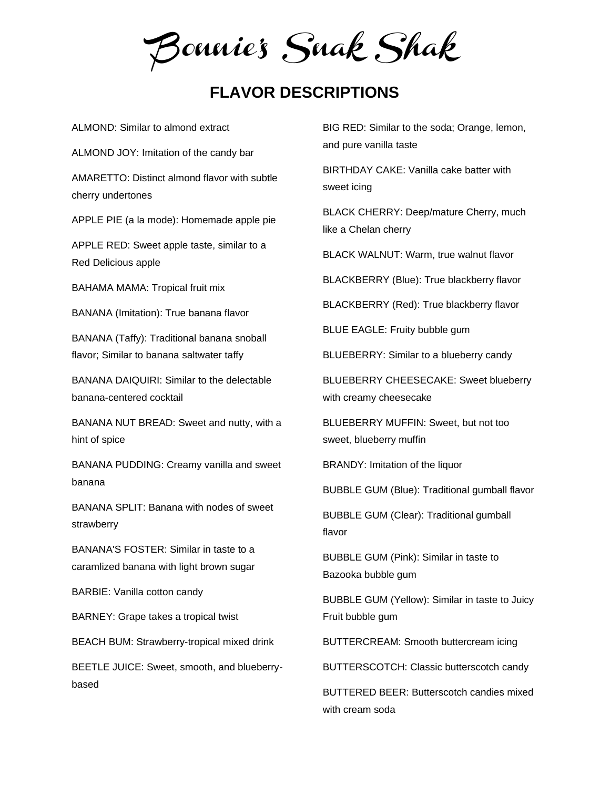Bonnie's Snak Shak

## **FLAVOR DESCRIPTIONS**

ALMOND: Similar to almond extract

ALMOND JOY: Imitation of the candy bar

AMARETTO: Distinct almond flavor with subtle cherry undertones

APPLE PIE (a la mode): Homemade apple pie

APPLE RED: Sweet apple taste, similar to a Red Delicious apple

BAHAMA MAMA: Tropical fruit mix

BANANA (Imitation): True banana flavor

BANANA (Taffy): Traditional banana snoball flavor; Similar to banana saltwater taffy

BANANA DAIQUIRI: Similar to the delectable banana-centered cocktail

BANANA NUT BREAD: Sweet and nutty, with a hint of spice

BANANA PUDDING: Creamy vanilla and sweet banana

BANANA SPLIT: Banana with nodes of sweet strawberry

BANANA'S FOSTER: Similar in taste to a caramlized banana with light brown sugar

BARBIE: Vanilla cotton candy

BARNEY: Grape takes a tropical twist

BEACH BUM: Strawberry-tropical mixed drink

BEETLE JUICE: Sweet, smooth, and blueberrybased

BIG RED: Similar to the soda; Orange, lemon, and pure vanilla taste

BIRTHDAY CAKE: Vanilla cake batter with sweet icing

BLACK CHERRY: Deep/mature Cherry, much like a Chelan cherry

BLACK WALNUT: Warm, true walnut flavor

BLACKBERRY (Blue): True blackberry flavor

BLACKBERRY (Red): True blackberry flavor

BLUE EAGLE: Fruity bubble gum

BLUEBERRY: Similar to a blueberry candy

BLUEBERRY CHEESECAKE: Sweet blueberry with creamy cheesecake

BLUEBERRY MUFFIN: Sweet, but not too sweet, blueberry muffin

BRANDY: Imitation of the liquor

BUBBLE GUM (Blue): Traditional gumball flavor

BUBBLE GUM (Clear): Traditional gumball flavor

BUBBLE GUM (Pink): Similar in taste to Bazooka bubble gum

BUBBLE GUM (Yellow): Similar in taste to Juicy Fruit bubble gum

BUTTERCREAM: Smooth buttercream icing

BUTTERSCOTCH: Classic butterscotch candy

BUTTERED BEER: Butterscotch candies mixed with cream soda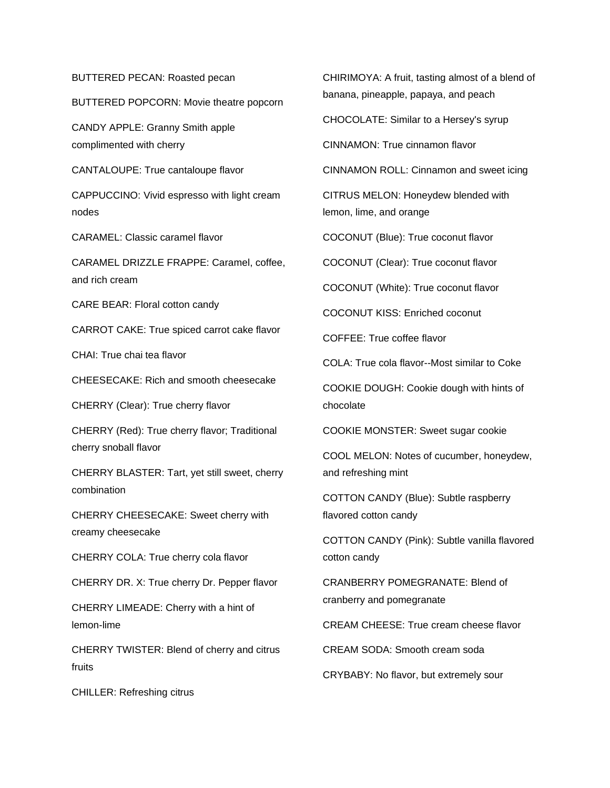BUTTERED PECAN: Roasted pecan

BUTTERED POPCORN: Movie theatre popcorn

CANDY APPLE: Granny Smith apple complimented with cherry

CANTALOUPE: True cantaloupe flavor

CAPPUCCINO: Vivid espresso with light cream nodes

CARAMEL: Classic caramel flavor

CARAMEL DRIZZLE FRAPPE: Caramel, coffee, and rich cream

CARE BEAR: Floral cotton candy

CARROT CAKE: True spiced carrot cake flavor

CHAI: True chai tea flavor

CHEESECAKE: Rich and smooth cheesecake

CHERRY (Clear): True cherry flavor

CHERRY (Red): True cherry flavor; Traditional cherry snoball flavor

CHERRY BLASTER: Tart, yet still sweet, cherry combination

CHERRY CHEESECAKE: Sweet cherry with creamy cheesecake

CHERRY COLA: True cherry cola flavor

CHERRY DR. X: True cherry Dr. Pepper flavor

CHERRY LIMEADE: Cherry with a hint of lemon-lime

CHERRY TWISTER: Blend of cherry and citrus fruits

CHILLER: Refreshing citrus

CHIRIMOYA: A fruit, tasting almost of a blend of banana, pineapple, papaya, and peach

CHOCOLATE: Similar to a Hersey's syrup

CINNAMON: True cinnamon flavor

CINNAMON ROLL: Cinnamon and sweet icing

CITRUS MELON: Honeydew blended with lemon, lime, and orange

COCONUT (Blue): True coconut flavor

COCONUT (Clear): True coconut flavor

COCONUT (White): True coconut flavor

COCONUT KISS: Enriched coconut

COFFEE: True coffee flavor

COLA: True cola flavor--Most similar to Coke

COOKIE DOUGH: Cookie dough with hints of chocolate

COOKIE MONSTER: Sweet sugar cookie

COOL MELON: Notes of cucumber, honeydew, and refreshing mint

COTTON CANDY (Blue): Subtle raspberry flavored cotton candy

COTTON CANDY (Pink): Subtle vanilla flavored cotton candy

CRANBERRY POMEGRANATE: Blend of cranberry and pomegranate

CREAM CHEESE: True cream cheese flavor

CREAM SODA: Smooth cream soda

CRYBABY: No flavor, but extremely sour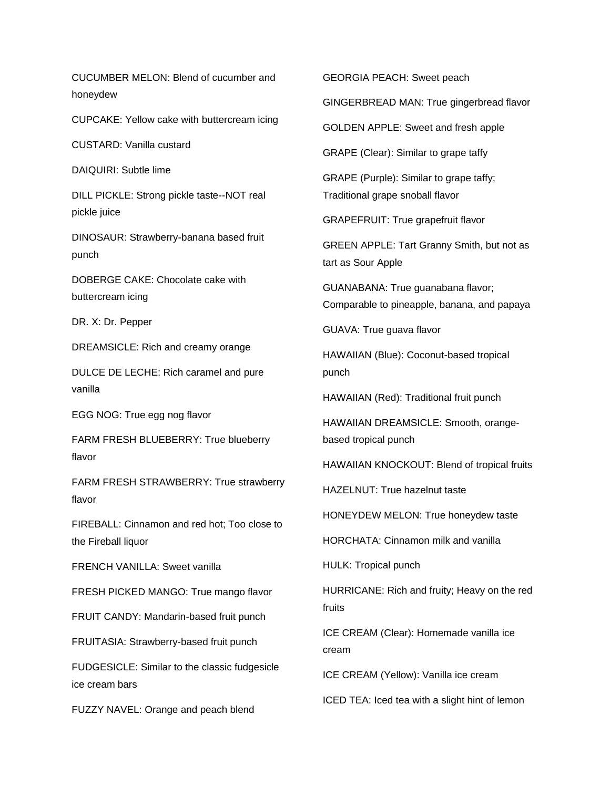CUCUMBER MELON: Blend of cucumber and honeydew

CUPCAKE: Yellow cake with buttercream icing

CUSTARD: Vanilla custard

DAIQUIRI: Subtle lime

DILL PICKLE: Strong pickle taste--NOT real pickle juice

DINOSAUR: Strawberry-banana based fruit punch

DOBERGE CAKE: Chocolate cake with buttercream icing

DR. X: Dr. Pepper

DREAMSICLE: Rich and creamy orange

DULCE DE LECHE: Rich caramel and pure vanilla

EGG NOG: True egg nog flavor

FARM FRESH BLUEBERRY: True blueberry flavor

FARM FRESH STRAWBERRY: True strawberry flavor

FIREBALL: Cinnamon and red hot; Too close to the Fireball liquor

FRENCH VANILLA: Sweet vanilla

FRESH PICKED MANGO: True mango flavor

FRUIT CANDY: Mandarin-based fruit punch

FRUITASIA: Strawberry-based fruit punch

FUDGESICLE: Similar to the classic fudgesicle ice cream bars

FUZZY NAVEL: Orange and peach blend

GEORGIA PEACH: Sweet peach

GINGERBREAD MAN: True gingerbread flavor

GOLDEN APPLE: Sweet and fresh apple

GRAPE (Clear): Similar to grape taffy

GRAPE (Purple): Similar to grape taffy; Traditional grape snoball flavor

GRAPEFRUIT: True grapefruit flavor

GREEN APPLE: Tart Granny Smith, but not as tart as Sour Apple

GUANABANA: True guanabana flavor; Comparable to pineapple, banana, and papaya

GUAVA: True guava flavor

HAWAIIAN (Blue): Coconut-based tropical punch

HAWAIIAN (Red): Traditional fruit punch

HAWAIIAN DREAMSICLE: Smooth, orangebased tropical punch

HAWAIIAN KNOCKOUT: Blend of tropical fruits

HAZELNUT: True hazelnut taste

HONEYDEW MELON: True honeydew taste

HORCHATA: Cinnamon milk and vanilla

HULK: Tropical punch

HURRICANE: Rich and fruity; Heavy on the red fruits

ICE CREAM (Clear): Homemade vanilla ice cream

ICE CREAM (Yellow): Vanilla ice cream

ICED TEA: Iced tea with a slight hint of lemon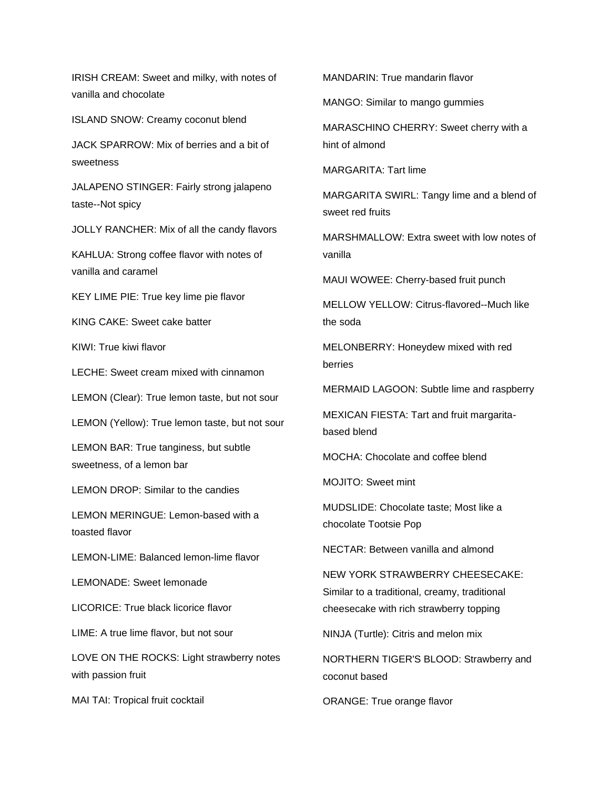IRISH CREAM: Sweet and milky, with notes of vanilla and chocolate

ISLAND SNOW: Creamy coconut blend

JACK SPARROW: Mix of berries and a bit of sweetness

JALAPENO STINGER: Fairly strong jalapeno taste--Not spicy

JOLLY RANCHER: Mix of all the candy flavors

KAHLUA: Strong coffee flavor with notes of vanilla and caramel

KEY LIME PIE: True key lime pie flavor

KING CAKE: Sweet cake batter

KIWI: True kiwi flavor

LECHE: Sweet cream mixed with cinnamon

LEMON (Clear): True lemon taste, but not sour

LEMON (Yellow): True lemon taste, but not sour

LEMON BAR: True tanginess, but subtle sweetness, of a lemon bar

LEMON DROP: Similar to the candies

LEMON MERINGUE: Lemon-based with a toasted flavor

LEMON-LIME: Balanced lemon-lime flavor

LEMONADE: Sweet lemonade

LICORICE: True black licorice flavor

LIME: A true lime flavor, but not sour

LOVE ON THE ROCKS: Light strawberry notes with passion fruit

MAI TAI: Tropical fruit cocktail

MANDARIN: True mandarin flavor

MANGO: Similar to mango gummies

MARASCHINO CHERRY: Sweet cherry with a hint of almond

MARGARITA: Tart lime

MARGARITA SWIRL: Tangy lime and a blend of sweet red fruits

MARSHMALLOW: Extra sweet with low notes of vanilla

MAUI WOWEE: Cherry-based fruit punch

MELLOW YELLOW: Citrus-flavored--Much like the soda

MELONBERRY: Honeydew mixed with red berries

MERMAID LAGOON: Subtle lime and raspberry

MEXICAN FIESTA: Tart and fruit margaritabased blend

MOCHA: Chocolate and coffee blend

MOJITO: Sweet mint

MUDSLIDE: Chocolate taste; Most like a chocolate Tootsie Pop

NECTAR: Between vanilla and almond

NEW YORK STRAWBERRY CHEESECAKE: Similar to a traditional, creamy, traditional cheesecake with rich strawberry topping

NINJA (Turtle): Citris and melon mix

NORTHERN TIGER'S BLOOD: Strawberry and coconut based

ORANGE: True orange flavor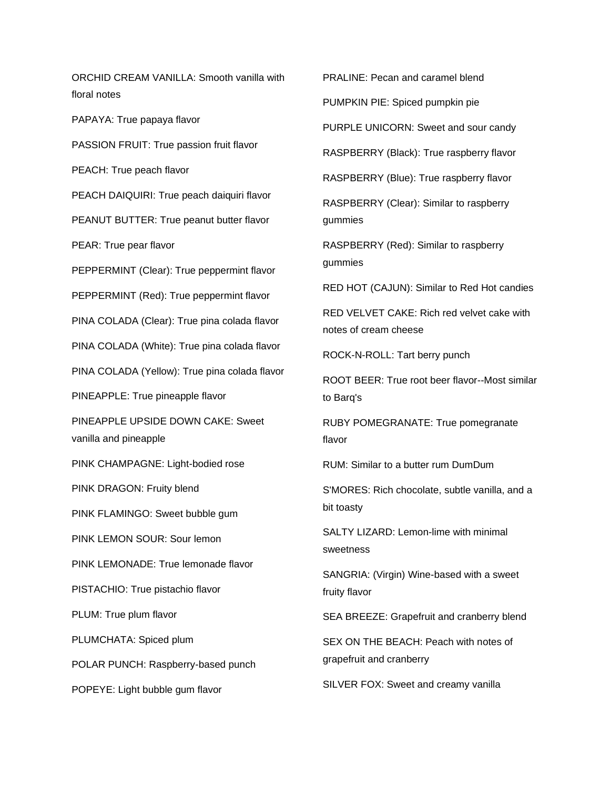ORCHID CREAM VANILLA: Smooth vanilla with floral notes

PAPAYA: True papaya flavor

PASSION FRUIT: True passion fruit flavor

PEACH: True peach flavor

PEACH DAIQUIRI: True peach daiquiri flavor

PEANUT BUTTER: True peanut butter flavor

PEAR: True pear flavor

PEPPERMINT (Clear): True peppermint flavor

PEPPERMINT (Red): True peppermint flavor

PINA COLADA (Clear): True pina colada flavor

PINA COLADA (White): True pina colada flavor

PINA COLADA (Yellow): True pina colada flavor

PINEAPPLE: True pineapple flavor

PINEAPPLE UPSIDE DOWN CAKE: Sweet vanilla and pineapple

PINK CHAMPAGNE: Light-bodied rose

PINK DRAGON: Fruity blend

PINK FLAMINGO: Sweet bubble gum

PINK LEMON SOUR: Sour lemon

PINK LEMONADE: True lemonade flavor

PISTACHIO: True pistachio flavor

PLUM: True plum flavor

PLUMCHATA: Spiced plum

POLAR PUNCH: Raspberry-based punch

POPEYE: Light bubble gum flavor

PRALINE: Pecan and caramel blend PUMPKIN PIE: Spiced pumpkin pie PURPLE UNICORN: Sweet and sour candy RASPBERRY (Black): True raspberry flavor

RASPBERRY (Blue): True raspberry flavor

RASPBERRY (Clear): Similar to raspberry gummies

RASPBERRY (Red): Similar to raspberry gummies

RED HOT (CAJUN): Similar to Red Hot candies

RED VELVET CAKE: Rich red velvet cake with notes of cream cheese

ROCK-N-ROLL: Tart berry punch

ROOT BEER: True root beer flavor--Most similar to Barq's

RUBY POMEGRANATE: True pomegranate flavor

RUM: Similar to a butter rum DumDum

S'MORES: Rich chocolate, subtle vanilla, and a bit toasty

SALTY LIZARD: Lemon-lime with minimal sweetness

SANGRIA: (Virgin) Wine-based with a sweet fruity flavor

SEA BREEZE: Grapefruit and cranberry blend

SEX ON THE BEACH: Peach with notes of grapefruit and cranberry

SILVER FOX: Sweet and creamy vanilla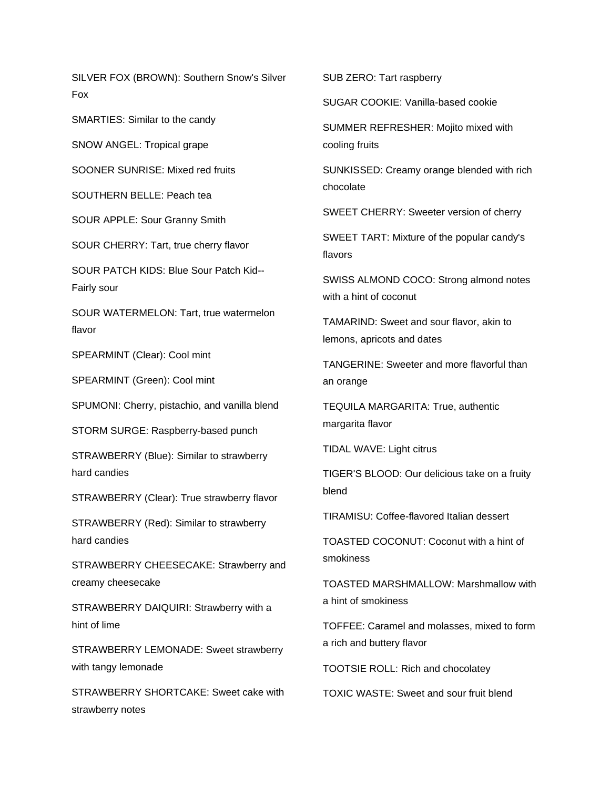SILVER FOX (BROWN): Southern Snow's Silver Fox

SMARTIES: Similar to the candy

SNOW ANGEL: Tropical grape

SOONER SUNRISE: Mixed red fruits

SOUTHERN BELLE: Peach tea

SOUR APPLE: Sour Granny Smith

SOUR CHERRY: Tart, true cherry flavor

SOUR PATCH KIDS: Blue Sour Patch Kid-- Fairly sour

SOUR WATERMELON: Tart, true watermelon flavor

SPEARMINT (Clear): Cool mint

SPEARMINT (Green): Cool mint

SPUMONI: Cherry, pistachio, and vanilla blend

STORM SURGE: Raspberry-based punch

STRAWBERRY (Blue): Similar to strawberry hard candies

STRAWBERRY (Clear): True strawberry flavor

STRAWBERRY (Red): Similar to strawberry hard candies

STRAWBERRY CHEESECAKE: Strawberry and creamy cheesecake

STRAWBERRY DAIQUIRI: Strawberry with a hint of lime

STRAWBERRY LEMONADE: Sweet strawberry with tangy lemonade

STRAWBERRY SHORTCAKE: Sweet cake with strawberry notes

SUB ZERO: Tart raspberry

SUGAR COOKIE: Vanilla-based cookie

SUMMER REFRESHER: Mojito mixed with cooling fruits

SUNKISSED: Creamy orange blended with rich chocolate

SWEET CHERRY: Sweeter version of cherry

SWEET TART: Mixture of the popular candy's flavors

SWISS ALMOND COCO: Strong almond notes with a hint of coconut

TAMARIND: Sweet and sour flavor, akin to lemons, apricots and dates

TANGERINE: Sweeter and more flavorful than an orange

TEQUILA MARGARITA: True, authentic margarita flavor

TIDAL WAVE: Light citrus

TIGER'S BLOOD: Our delicious take on a fruity blend

TIRAMISU: Coffee-flavored Italian dessert

TOASTED COCONUT: Coconut with a hint of smokiness

TOASTED MARSHMALLOW: Marshmallow with a hint of smokiness

TOFFEE: Caramel and molasses, mixed to form a rich and buttery flavor

TOOTSIE ROLL: Rich and chocolatey

TOXIC WASTE: Sweet and sour fruit blend